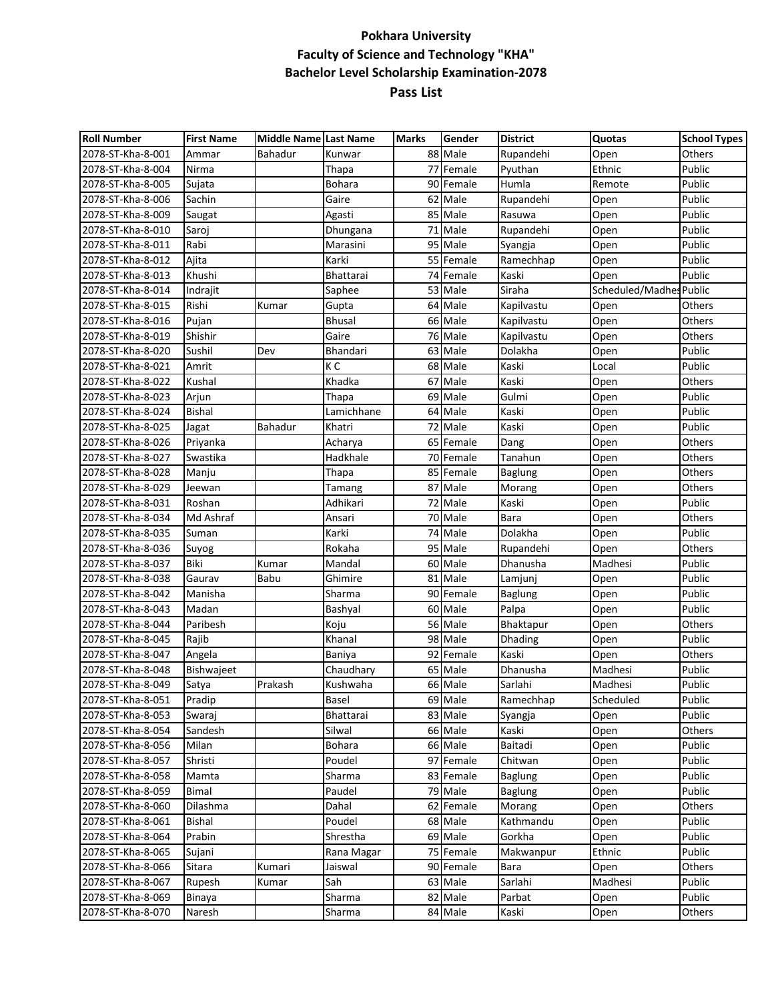## **Pokhara University Faculty of Science and Technology "KHA" Bachelor Level Scholarship Examination-2078 Pass List**

| <b>Roll Number</b> | <b>First Name</b> | Middle Name Last Name |               | <b>Marks</b> | Gender    | <b>District</b> | Quotas           | <b>School Types</b> |
|--------------------|-------------------|-----------------------|---------------|--------------|-----------|-----------------|------------------|---------------------|
| 2078-ST-Kha-8-001  | Ammar             | <b>Bahadur</b>        | Kunwar        |              | 88 Male   | Rupandehi       | Open             | Others              |
| 2078-ST-Kha-8-004  | Nirma             |                       | Thapa         |              | 77 Female | Pyuthan         | Ethnic           | Public              |
| 2078-ST-Kha-8-005  | Sujata            |                       | Bohara        |              | 90 Female | Humla           | Remote           | Public              |
| 2078-ST-Kha-8-006  | Sachin            |                       | Gaire         |              | 62 Male   | Rupandehi       | Open             | Public              |
| 2078-ST-Kha-8-009  | Saugat            |                       | Agasti        |              | 85 Male   | Rasuwa          | Open             | Public              |
| 2078-ST-Kha-8-010  | Saroj             |                       | Dhungana      |              | 71 Male   | Rupandehi       | Open             | Public              |
| 2078-ST-Kha-8-011  | Rabi              |                       | Marasini      |              | 95 Male   | Syangja         | Open             | Public              |
| 2078-ST-Kha-8-012  | Ajita             |                       | Karki         |              | 55 Female | Ramechhap       | Open             | Public              |
| 2078-ST-Kha-8-013  | Khushi            |                       | Bhattarai     |              | 74 Female | Kaski           | Open             | Public              |
| 2078-ST-Kha-8-014  | Indrajit          |                       | Saphee        |              | 53 Male   | Siraha          | Scheduled/Madhes | Public              |
| 2078-ST-Kha-8-015  | Rishi             | Kumar                 | Gupta         |              | $64$ Male | Kapilvastu      | Open             | Others              |
| 2078-ST-Kha-8-016  | Pujan             |                       | <b>Bhusal</b> |              | 66 Male   | Kapilvastu      | Open             | Others              |
| 2078-ST-Kha-8-019  | Shishir           |                       | Gaire         |              | 76 Male   | Kapilvastu      | Open             | Others              |
| 2078-ST-Kha-8-020  | Sushil            | Dev                   | Bhandari      |              | 63 Male   | Dolakha         | Open             | Public              |
| 2078-ST-Kha-8-021  | Amrit             |                       | K C           |              | 68 Male   | Kaski           | Local            | Public              |
| 2078-ST-Kha-8-022  | Kushal            |                       | Khadka        |              | 67 Male   | Kaski           | Open             | Others              |
| 2078-ST-Kha-8-023  | Arjun             |                       | Thapa         |              | 69 Male   | Gulmi           | Open             | Public              |
| 2078-ST-Kha-8-024  | <b>Bishal</b>     |                       | Lamichhane    |              | 64 Male   | Kaski           | Open             | Public              |
| 2078-ST-Kha-8-025  | Jagat             | <b>Bahadur</b>        | Khatri        |              | 72 Male   | Kaski           | Open             | Public              |
| 2078-ST-Kha-8-026  | Priyanka          |                       | Acharya       |              | 65 Female | Dang            | Open             | Others              |
| 2078-ST-Kha-8-027  | Swastika          |                       | Hadkhale      |              | 70 Female | Tanahun         | Open             | Others              |
| 2078-ST-Kha-8-028  | Manju             |                       | Thapa         |              | 85 Female | <b>Baglung</b>  | Open             | Others              |
| 2078-ST-Kha-8-029  | Jeewan            |                       | Tamang        |              | 87 Male   | Morang          | Open             | Others              |
| 2078-ST-Kha-8-031  | Roshan            |                       | Adhikari      |              | 72 Male   | Kaski           | Open             | Public              |
| 2078-ST-Kha-8-034  | Md Ashraf         |                       | Ansari        |              | 70 Male   | Bara            | Open             | Others              |
| 2078-ST-Kha-8-035  | Suman             |                       | Karki         |              | 74 Male   | Dolakha         | Open             | Public              |
| 2078-ST-Kha-8-036  | Suyog             |                       | Rokaha        |              | 95 Male   | Rupandehi       | Open             | Others              |
| 2078-ST-Kha-8-037  | Biki              | Kumar                 | Mandal        |              | 60 Male   | Dhanusha        | Madhesi          | Public              |
| 2078-ST-Kha-8-038  | Gaurav            | Babu                  | Ghimire       |              | 81 Male   | Lamjunj         | Open             | Public              |
| 2078-ST-Kha-8-042  | Manisha           |                       | Sharma        |              | 90 Female | <b>Baglung</b>  | Open             | Public              |
| 2078-ST-Kha-8-043  | Madan             |                       | Bashyal       |              | 60 Male   | Palpa           | Open             | Public              |
| 2078-ST-Kha-8-044  | Paribesh          |                       | Koju          |              | 56 Male   | Bhaktapur       | Open             | Others              |
| 2078-ST-Kha-8-045  | Rajib             |                       | Khanal        |              | 98 Male   | Dhading         | Open             | Public              |
| 2078-ST-Kha-8-047  | Angela            |                       | Baniya        |              | 92 Female | Kaski           | Open             | Others              |
| 2078-ST-Kha-8-048  | Bishwajeet        |                       | Chaudhary     |              | 65 Male   | Dhanusha        | Madhesi          | Public              |
| 2078-ST-Kha-8-049  | Satya             | Prakash               | Kushwaha      |              | 66 Male   | Sarlahi         | Madhesi          | Public              |
| 2078-ST-Kha-8-051  | Pradip            |                       | Basel         |              | 69 Male   | Ramechhap       | Scheduled        | Public              |
| 2078-ST-Kha-8-053  | Swaraj            |                       | Bhattarai     |              | 83 Male   | Syangja         | Open             | Public              |
| 2078-ST-Kha-8-054  | Sandesh           |                       | Silwal        |              | 66 Male   | Kaski           | Open             | Others              |
| 2078-ST-Kha-8-056  | Milan             |                       | Bohara        |              | 66 Male   | Baitadi         | Open             | Public              |
| 2078-ST-Kha-8-057  | Shristi           |                       | Poudel        |              | 97 Female | Chitwan         | Open             | Public              |
| 2078-ST-Kha-8-058  | Mamta             |                       | Sharma        |              | 83 Female | <b>Baglung</b>  | Open             | Public              |
| 2078-ST-Kha-8-059  | Bimal             |                       | Paudel        |              | 79 Male   | <b>Baglung</b>  | Open             | Public              |
| 2078-ST-Kha-8-060  | Dilashma          |                       | Dahal         |              | 62 Female | Morang          | Open             | Others              |
| 2078-ST-Kha-8-061  | Bishal            |                       | Poudel        |              | 68 Male   | Kathmandu       | Open             | Public              |
| 2078-ST-Kha-8-064  | Prabin            |                       | Shrestha      |              | 69 Male   | Gorkha          | Open             | Public              |
| 2078-ST-Kha-8-065  | Sujani            |                       | Rana Magar    |              | 75 Female | Makwanpur       | Ethnic           | Public              |
| 2078-ST-Kha-8-066  | Sitara            | Kumari                | Jaiswal       |              | 90 Female | Bara            | Open             | Others              |
| 2078-ST-Kha-8-067  | Rupesh            | Kumar                 | Sah           |              | 63 Male   | Sarlahi         | Madhesi          | Public              |
| 2078-ST-Kha-8-069  | Binaya            |                       | Sharma        |              | 82 Male   | Parbat          | Open             | Public              |
| 2078-ST-Kha-8-070  | Naresh            |                       | Sharma        |              | 84 Male   | Kaski           | Open             | Others              |